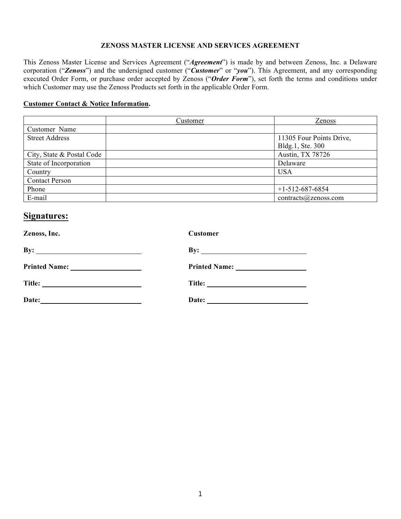#### **ZENOSS MASTER LICENSE AND SERVICES AGREEMENT**

This Zenoss Master License and Services Agreement ("*Agreement*") is made by and between Zenoss, Inc. a Delaware corporation ("*Zenoss*") and the undersigned customer ("*Customer*" or "*you*"). This Agreement, and any corresponding executed Order Form, or purchase order accepted by Zenoss ("*Order Form*"), set forth the terms and conditions under which Customer may use the Zenoss Products set forth in the applicable Order Form.

#### **Customer Contact & Notice Information.**

|                           | Customer | Zenoss                   |
|---------------------------|----------|--------------------------|
| Customer Name             |          |                          |
| <b>Street Address</b>     |          | 11305 Four Points Drive, |
|                           |          | Bldg.1, Ste. 300         |
| City, State & Postal Code |          | Austin, TX 78726         |
| State of Incorporation    |          | Delaware                 |
| Country                   |          | <b>USA</b>               |
| <b>Contact Person</b>     |          |                          |
| Phone                     |          | $+1-512-687-6854$        |
| E-mail                    |          | contracts@zensors.com    |

# **Signatures:**

| Zenoss, Inc.                                                       | Customer            |  |
|--------------------------------------------------------------------|---------------------|--|
| By:<br><u> 1989 - Johann Stoff, amerikansk politiker (d. 1989)</u> | By: $\qquad \qquad$ |  |
| <b>Printed Name:</b><br><u> 1989 - Johann Barbara, martin a</u>    |                     |  |
| Title:                                                             |                     |  |
| Date:                                                              | Date:               |  |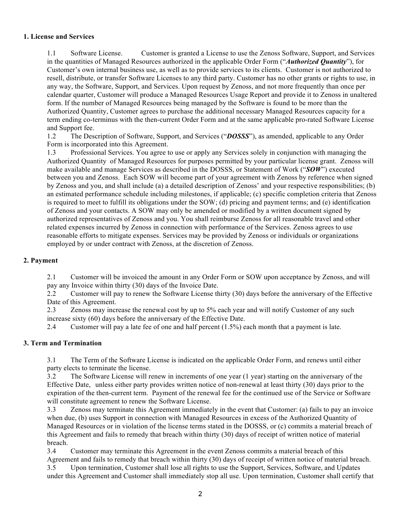# **1. License and Services**

1.1 Software License. Customer is granted a License to use the Zenoss Software, Support, and Services in the quantities of Managed Resources authorized in the applicable Order Form ("*Authorized Quantity*"), for Customer's own internal business use, as well as to provide services to its clients. Customer is not authorized to resell, distribute, or transfer Software Licenses to any third party. Customer has no other grants or rights to use, in any way, the Software, Support, and Services. Upon request by Zenoss, and not more frequently than once per calendar quarter, Customer will produce a Managed Resources Usage Report and provide it to Zenoss in unaltered form. If the number of Managed Resources being managed by the Software is found to be more than the Authorized Quantity, Customer agrees to purchase the additional necessary Managed Resources capacity for a term ending co-terminus with the then-current Order Form and at the same applicable pro-rated Software License and Support fee.

1.2 The Description of Software, Support, and Services ("*DOSSS*"), as amended, applicable to any Order Form is incorporated into this Agreement.

1.3 Professional Services. You agree to use or apply any Services solely in conjunction with managing the Authorized Quantity of Managed Resources for purposes permitted by your particular license grant. Zenoss will make available and manage Services as described in the DOSSS, or Statement of Work ("*SOW*") executed between you and Zenoss. Each SOW will become part of your agreement with Zenoss by reference when signed by Zenoss and you, and shall include (a) a detailed description of Zenoss' and your respective responsibilities; (b) an estimated performance schedule including milestones, if applicable; (c) specific completion criteria that Zenoss is required to meet to fulfill its obligations under the SOW; (d) pricing and payment terms; and (e) identification of Zenoss and your contacts. A SOW may only be amended or modified by a written document signed by authorized representatives of Zenoss and you. You shall reimburse Zenoss for all reasonable travel and other related expenses incurred by Zenoss in connection with performance of the Services. Zenoss agrees to use reasonable efforts to mitigate expenses. Services may be provided by Zenoss or individuals or organizations employed by or under contract with Zenoss, at the discretion of Zenoss.

# **2. Payment**

2.1 Customer will be invoiced the amount in any Order Form or SOW upon acceptance by Zenoss, and will pay any Invoice within thirty (30) days of the Invoice Date.

2.2 Customer will pay to renew the Software License thirty (30) days before the anniversary of the Effective Date of this Agreement.

2.3 Zenoss may increase the renewal cost by up to 5% each year and will notify Customer of any such increase sixty (60) days before the anniversary of the Effective Date.

2.4 Customer will pay a late fee of one and half percent (1.5%) each month that a payment is late.

# **3. Term and Termination**

3.1 The Term of the Software License is indicated on the applicable Order Form, and renews until either party elects to terminate the license.

3.2 The Software License will renew in increments of one year (1 year) starting on the anniversary of the Effective Date, unless either party provides written notice of non-renewal at least thirty (30) days prior to the expiration of the then-current term. Payment of the renewal fee for the continued use of the Service or Software will constitute agreement to renew the Software License.

3.3 Zenoss may terminate this Agreement immediately in the event that Customer: (a) fails to pay an invoice when due, (b) uses Support in connection with Managed Resources in excess of the Authorized Quantity of Managed Resources or in violation of the license terms stated in the DOSSS, or (c) commits a material breach of this Agreement and fails to remedy that breach within thirty (30) days of receipt of written notice of material breach.

3.4 Customer may terminate this Agreement in the event Zenoss commits a material breach of this Agreement and fails to remedy that breach within thirty (30) days of receipt of written notice of material breach.

3.5 Upon termination, Customer shall lose all rights to use the Support, Services, Software, and Updates under this Agreement and Customer shall immediately stop all use. Upon termination, Customer shall certify that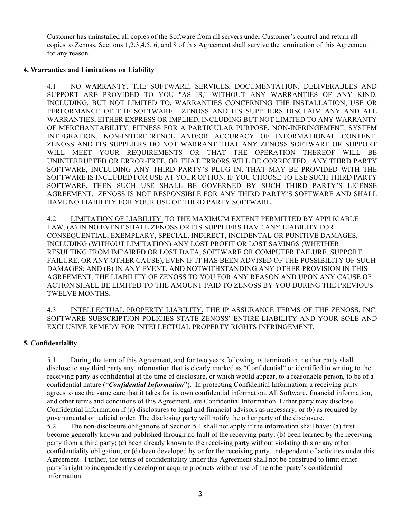Customer has uninstalled all copies of the Software from all servers under Customer's control and return all copies to Zenoss. Sections 1,2,3,4,5, 6, and 8 of this Agreement shall survive the termination of this Agreement for any reason.

### **4. Warranties and Limitations on Liability**

4.1 NO WARRANTY. THE SOFTWARE, SERVICES, DOCUMENTATION, DELIVERABLES AND SUPPORT ARE PROVIDED TO YOU "AS IS," WITHOUT ANY WARRANTIES OF ANY KIND, INCLUDING, BUT NOT LIMITED TO, WARRANTIES CONCERNING THE INSTALLATION, USE OR PERFORMANCE OF THE SOFTWARE. ZENOSS AND ITS SUPPLIERS DISCLAIM ANY AND ALL WARRANTIES, EITHER EXPRESS OR IMPLIED, INCLUDING BUT NOT LIMITED TO ANY WARRANTY OF MERCHANTABILITY, FITNESS FOR A PARTICULAR PURPOSE, NON-INFRINGEMENT, SYSTEM INTEGRATION, NON-INTERFERENCE AND/OR ACCURACY OF INFORMATIONAL CONTENT. ZENOSS AND ITS SUPPLIERS DO NOT WARRANT THAT ANY ZENOSS SOFTWARE OR SUPPORT WILL MEET YOUR REQUIREMENTS OR THAT THE OPERATION THEREOF WILL BE UNINTERRUPTED OR ERROR-FREE, OR THAT ERRORS WILL BE CORRECTED. ANY THIRD PARTY SOFTWARE, INCLUDING ANY THIRD PARTY'S PLUG IN, THAT MAY BE PROVIDED WITH THE SOFTWARE IS INCLUDED FOR USE AT YOUR OPTION. IF YOU CHOOSE TO USE SUCH THIRD PARTY SOFTWARE, THEN SUCH USE SHALL BE GOVERNED BY SUCH THIRD PARTY'S LICENSE AGREEMENT. ZENOSS IS NOT RESPONSIBLE FOR ANY THIRD PARTY'S SOFTWARE AND SHALL HAVE NO LIABILITY FOR YOUR USE OF THIRD PARTY SOFTWARE.

4.2 LIMITATION OF LIABILITY. TO THE MAXIMUM EXTENT PERMITTED BY APPLICABLE LAW, (A) IN NO EVENT SHALL ZENOSS OR ITS SUPPLIERS HAVE ANY LIABILITY FOR CONSEQUENTIAL, EXEMPLARY, SPECIAL, INDIRECT, INCIDENTAL OR PUNITIVE DAMAGES, INCLUDING (WITHOUT LIMITATION) ANY LOST PROFIT OR LOST SAVINGS (WHETHER RESULTING FROM IMPAIRED OR LOST DATA, SOFTWARE OR COMPUTER FAILURE, SUPPORT FAILURE, OR ANY OTHER CAUSE), EVEN IF IT HAS BEEN ADVISED OF THE POSSIBILITY OF SUCH DAMAGES; AND (B) IN ANY EVENT, AND NOTWITHSTANDING ANY OTHER PROVISION IN THIS AGREEMENT, THE LIABILITY OF ZENOSS TO YOU FOR ANY REASON AND UPON ANY CAUSE OF ACTION SHALL BE LIMITED TO THE AMOUNT PAID TO ZENOSS BY YOU DURING THE PREVIOUS TWELVE MONTHS.

4.3 INTELLECTUAL PROPERTY LIABILITY. THE IP ASSURANCE TERMS OF THE ZENOSS, INC. SOFTWARE SUBSCRIPTION POLICIES STATE ZENOSS' ENTIRE LIABILITY AND YOUR SOLE AND EXCLUSIVE REMEDY FOR INTELLECTUAL PROPERTY RIGHTS INFRINGEMENT.

# **5. Confidentiality**

5.1 During the term of this Agreement, and for two years following its termination, neither party shall disclose to any third party any information that is clearly marked as "Confidential" or identified in writing to the receiving party as confidential at the time of disclosure, or which would appear, to a reasonable person, to be of a confidential nature ("*Confidential Information*"). In protecting Confidential Information, a receiving party agrees to use the same care that it takes for its own confidential information. All Software, financial information, and other terms and conditions of this Agreement, are Confidential Information. Either party may disclose Confidential Information if (a) disclosures to legal and financial advisors as necessary; or (b) as required by governmental or judicial order. The disclosing party will notify the other party of the disclosure.

5.2 The non-disclosure obligations of Section 5.1 shall not apply if the information shall have: (a) first become generally known and published through no fault of the receiving party; (b) been learned by the receiving party from a third party; (c) been already known to the receiving party without violating this or any other confidentiality obligation; or (d) been developed by or for the receiving party, independent of activities under this Agreement. Further, the terms of confidentiality under this Agreement shall not be construed to limit either party's right to independently develop or acquire products without use of the other party's confidential information.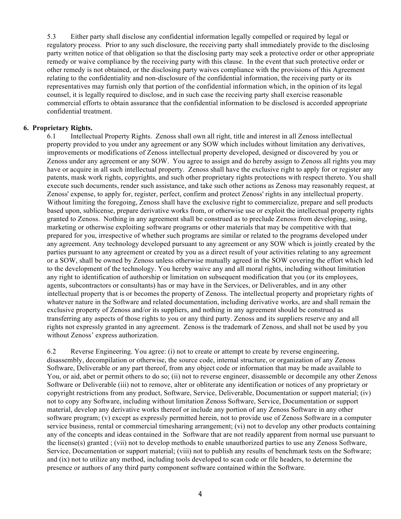5.3 Either party shall disclose any confidential information legally compelled or required by legal or regulatory process. Prior to any such disclosure, the receiving party shall immediately provide to the disclosing party written notice of that obligation so that the disclosing party may seek a protective order or other appropriate remedy or waive compliance by the receiving party with this clause. In the event that such protective order or other remedy is not obtained, or the disclosing party waives compliance with the provisions of this Agreement relating to the confidentiality and non-disclosure of the confidential information, the receiving party or its representatives may furnish only that portion of the confidential information which, in the opinion of its legal counsel, it is legally required to disclose, and in such case the receiving party shall exercise reasonable commercial efforts to obtain assurance that the confidential information to be disclosed is accorded appropriate confidential treatment.

#### **6. Proprietary Rights.**

6.1 Intellectual Property Rights. Zenoss shall own all right, title and interest in all Zenoss intellectual property provided to you under any agreement or any SOW which includes without limitation any derivatives, improvements or modifications of Zenoss intellectual property developed, designed or discovered by you or Zenoss under any agreement or any SOW. You agree to assign and do hereby assign to Zenoss all rights you may have or acquire in all such intellectual property. Zenoss shall have the exclusive right to apply for or register any patents, mask work rights, copyrights, and such other proprietary rights protections with respect thereto. You shall execute such documents, render such assistance, and take such other actions as Zenoss may reasonably request, at Zenoss' expense, to apply for, register, perfect, confirm and protect Zenoss' rights in any intellectual property. Without limiting the foregoing, Zenoss shall have the exclusive right to commercialize, prepare and sell products based upon, sublicense, prepare derivative works from, or otherwise use or exploit the intellectual property rights granted to Zenoss. Nothing in any agreement shall be construed as to preclude Zenoss from developing, using, marketing or otherwise exploiting software programs or other materials that may be competitive with that prepared for you, irrespective of whether such programs are similar or related to the programs developed under any agreement. Any technology developed pursuant to any agreement or any SOW which is jointly created by the parties pursuant to any agreement or created by you as a direct result of your activities relating to any agreement or a SOW, shall be owned by Zenoss unless otherwise mutually agreed in the SOW covering the effort which led to the development of the technology. You hereby waive any and all moral rights, including without limitation any right to identification of authorship or limitation on subsequent modification that you (or its employees, agents, subcontractors or consultants) has or may have in the Services, or Deliverables, and in any other intellectual property that is or becomes the property of Zenoss. The intellectual property and proprietary rights of whatever nature in the Software and related documentation, including derivative works, are and shall remain the exclusive property of Zenoss and/or its suppliers, and nothing in any agreement should be construed as transferring any aspects of those rights to you or any third party. Zenoss and its suppliers reserve any and all rights not expressly granted in any agreement. Zenoss is the trademark of Zenoss, and shall not be used by you without Zenoss' express authorization.

6.2 Reverse Engineering. You agree: (i) not to create or attempt to create by reverse engineering, disassembly, decompilation or otherwise, the source code, internal structure, or organization of any Zenoss Software, Deliverable or any part thereof, from any object code or information that may be made available to You, or aid, abet or permit others to do so; (ii) not to reverse engineer, disassemble or decompile any other Zenoss Software or Deliverable (iii) not to remove, alter or obliterate any identification or notices of any proprietary or copyright restrictions from any product, Software, Service, Deliverable, Documentation or support material; (iv) not to copy any Software, including without limitation Zenoss Software, Service, Documentation or support material, develop any derivative works thereof or include any portion of any Zenoss Software in any other software program; (v) except as expressly permitted herein, not to provide use of Zenoss Software in a computer service business, rental or commercial timesharing arrangement; (vi) not to develop any other products containing any of the concepts and ideas contained in the Software that are not readily apparent from normal use pursuant to the license(s) granted ; (vii) not to develop methods to enable unauthorized parties to use any Zenoss Software, Service, Documentation or support material; (viii) not to publish any results of benchmark tests on the Software; and (ix) not to utilize any method, including tools developed to scan code or file headers, to determine the presence or authors of any third party component software contained within the Software.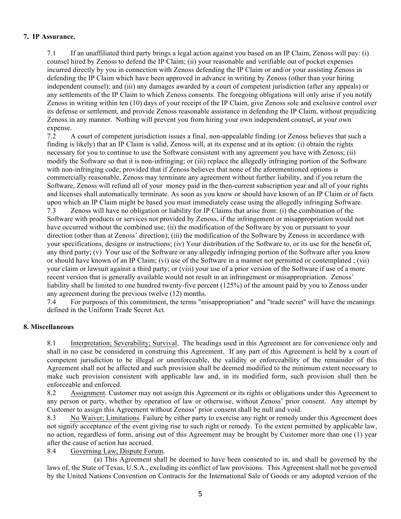### **7. IP Assurance.**

7.1 If an unaffiliated third party brings a legal action against you based on an IP Claim, Zenoss will pay: (i) counsel hired by Zenoss to defend the IP Claim; (ii) your reasonable and verifiable out of pocket expenses incurred directly by you in connection with Zenoss defending the IP Claim or and/or your assisting Zenoss in defending the IP Claim which have been approved in advance in writing by Zenoss (other than your hiring independent counsel); and (iii) any damages awarded by a court of competent jurisdiction (after any appeals) or any settlements of the IP Claim to which Zenoss consents. The foregoing obligations will only arise if you notify Zenoss in writing within ten (10) days of your receipt of the IP Claim, give Zenoss sole and exclusive control over its defense or settlement, and provide Zenoss reasonable assistance in defending the IP Claim, without prejudicing Zenoss in any manner. Nothing will prevent you from hiring your own independent counsel, at your own expense.

7.2 A court of competent jurisdiction issues a final, non-appealable finding (or Zenoss believes that such a finding is likely) that an IP Claim is valid, Zenoss will, at its expense and at its option: (i) obtain the rights necessary for you to continue to use the Software consistent with any agreement you have with Zenoss; (ii) modify the Software so that it is non-infringing; or (iii) replace the allegedly infringing portion of the Software with non-infringing code; provided that if Zenoss believes that none of the aforementioned options is commercially reasonable, Zenoss may terminate any agreement without further liability, and if you return the Software, Zenoss will refund all of your money paid in the then-current subscription year and all of your rights and licenses shall automatically terminate. As soon as you know or should have known of an IP Claim or of facts upon which an IP Claim might be based you must immediately cease using the allegedly infringing Software. 7.3 Zenoss will have no obligation or liability for IP Claims that arise from: (i) the combination of the Software with products or services not provided by Zenoss, if the infringement or misappropriation would not have occurred without the combined use; (ii) the modification of the Software by you or pursuant to your direction (other than at Zenoss' direction); (iii) the modification of the Software by Zenoss in accordance with your specifications, designs or instructions; (iv) Your distribution of the Software to, or its use for the benefit of, any third party; (v) Your use of the Software or any allegedly infringing portion of the Software after you know or should have known of an IP Claim; (vi) use of the Software in a manner not permitted or contemplated ; (vii) your claim or lawsuit against a third party; or (viii) your use of a prior version of the Software if use of a more recent version that is generally available would not result in an infringement or misappropriation. Zenoss' liability shall be limited to one hundred twenty-five percent (125%) of the amount paid by you to Zenoss under any agreement during the previous twelve (12) months.

7.4 For purposes of this commitment, the terms "misappropriation" and "trade secret" will have the meanings defined in the Uniform Trade Secret Act.

# **8. Miscellaneous**

8.1 Interpretation; Severability; Survival. The headings used in this Agreement are for convenience only and shall in no case be considered in construing this Agreement. If any part of this Agreement is held by a court of competent jurisdiction to be illegal or unenforceable, the validity or enforceability of the remainder of this Agreement shall not be affected and such provision shall be deemed modified to the minimum extent necessary to make such provision consistent with applicable law and, in its modified form, such provision shall then be enforceable and enforced.

8.2 Assignment. Customer may not assign this Agreement or its rights or obligations under this Agreement to any person or party, whether by operation of law or otherwise, without Zenoss' prior consent. Any attempt by Customer to assign this Agreement without Zenoss' prior consent shall be null and void.

8.3 No Waiver; Limitations. Failure by either party to exercise any right or remedy under this Agreement does not signify acceptance of the event giving rise to such right or remedy. To the extent permitted by applicable law, no action, regardless of form, arising out of this Agreement may be brought by Customer more than one (1) year after the cause of action has accrued.

8.4 Governing Law; Dispute Forum.

(a) This Agreement shall be deemed to have been consented to in, and shall be governed by the laws of, the State of Texas, U.S.A., excluding its conflict of law provisions. This Agreement shall not be governed by the United Nations Convention on Contracts for the International Sale of Goods or any adopted version of the